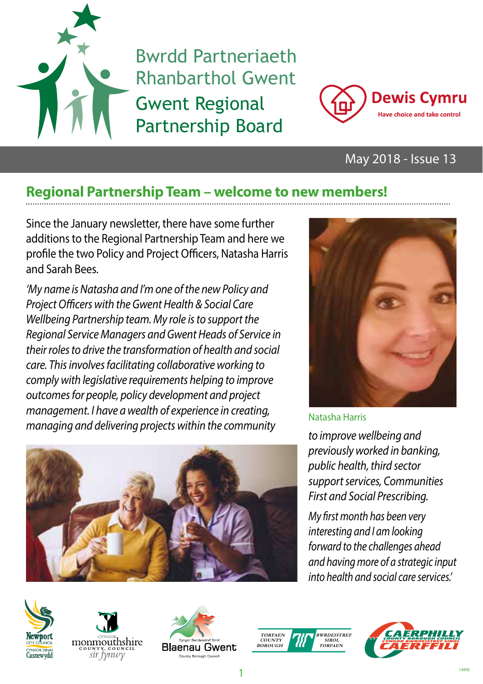

Bwrdd Partneriaeth Rhanbarthol Gwent Gwent Regional Partnership Board



### May 2018 - Issue 13

## **Regional Partnership Team – welcome to new members!**

Since the January newsletter, there have some further additions to the Regional Partnership Team and here we profile the two Policy and Project Officers, Natasha Harris and Sarah Bees.

*'My name is Natasha and I'm one of the new Policy and Project Officers with the Gwent Health & Social Care Wellbeing Partnership team. My role is to support the Regional Service Managers and Gwent Heads of Service in their roles to drive the transformation of health and social care. This involves facilitating collaborative working to comply with legislative requirements helping to improve outcomes for people, policy development and project management. I have a wealth of experience in creating, managing and delivering projects within the community to improve wellbeing and* 





#### Natasha Harris

*previously worked in banking, public health, third sector support services, Communities First and Social Prescribing.*

*My first month has been very interesting and I am looking forward to the challenges ahead and having more of a strategic input into health and social care services.'*









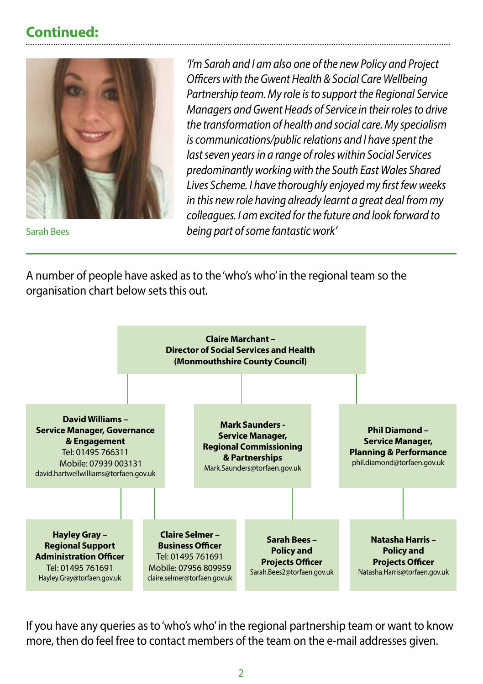### **Continued:**



Sarah Bees

*'I'm Sarah and I am also one of the new Policy and Project Officers with the Gwent Health & Social Care Wellbeing Partnership team. My role is to support the Regional Service Managers and Gwent Heads of Service in their roles to drive the transformation of health and social care. My specialism is communications/public relations and I have spent the last seven years in a range of roles within Social Services predominantly working with the South East Wales Shared Lives Scheme. I have thoroughly enjoyed my first few weeks in this new role having already learnt a great deal from my colleagues. I am excited for the future and look forward to being part of some fantastic work'*

A number of people have asked as to the 'who's who' in the regional team so the organisation chart below sets this out.



If you have any queries as to 'who's who' in the regional partnership team or want to know more, then do feel free to contact members of the team on the e-mail addresses given.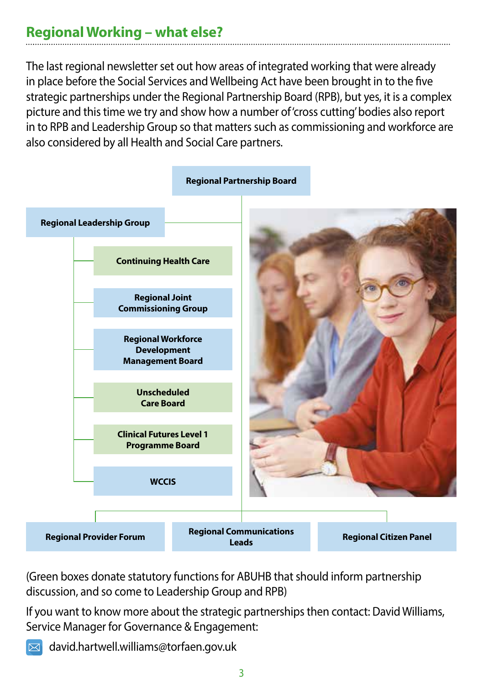### **Regional Working – what else?**

The last regional newsletter set out how areas of integrated working that were already in place before the Social Services and Wellbeing Act have been brought in to the five strategic partnerships under the Regional Partnership Board (RPB), but yes, it is a complex picture and this time we try and show how a number of 'cross cutting' bodies also report in to RPB and Leadership Group so that matters such as commissioning and workforce are also considered by all Health and Social Care partners.



(Green boxes donate statutory functions for ABUHB that should inform partnership discussion, and so come to Leadership Group and RPB)

If you want to know more about the strategic partnerships then contact: David Williams, Service Manager for Governance & Engagement:

 $\boxtimes$  david.hartwell.williams@torfaen.gov.uk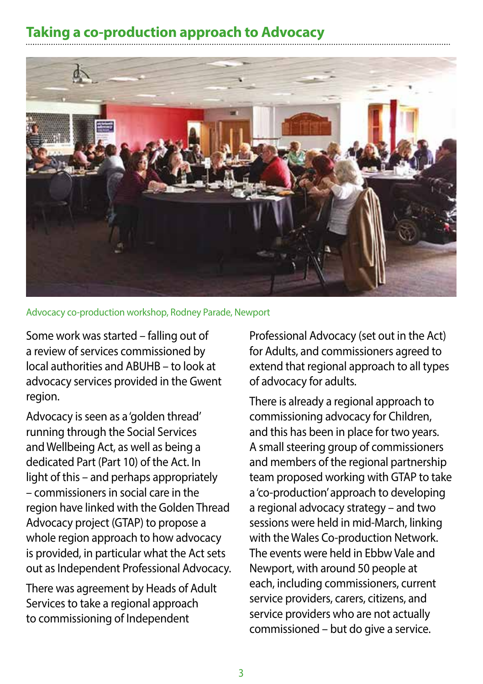## **Taking a co-production approach to Advocacy**



Advocacy co-production workshop, Rodney Parade, Newport

Some work was started – falling out of a review of services commissioned by local authorities and ABUHB – to look at advocacy services provided in the Gwent region.

Advocacy is seen as a 'golden thread' running through the Social Services and Wellbeing Act, as well as being a dedicated Part (Part 10) of the Act. In light of this – and perhaps appropriately – commissioners in social care in the region have linked with the Golden Thread Advocacy project (GTAP) to propose a whole region approach to how advocacy is provided, in particular what the Act sets out as Independent Professional Advocacy.

There was agreement by Heads of Adult Services to take a regional approach to commissioning of Independent

Professional Advocacy (set out in the Act) for Adults, and commissioners agreed to extend that regional approach to all types of advocacy for adults.

There is already a regional approach to commissioning advocacy for Children, and this has been in place for two years. A small steering group of commissioners and members of the regional partnership team proposed working with GTAP to take a 'co-production' approach to developing a regional advocacy strategy – and two sessions were held in mid-March, linking with the Wales Co-production Network. The events were held in Ebbw Vale and Newport, with around 50 people at each, including commissioners, current service providers, carers, citizens, and service providers who are not actually commissioned – but do give a service.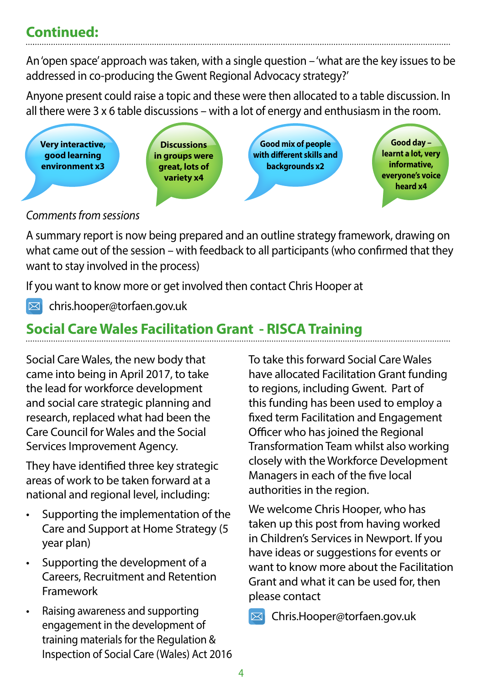## **Continued:**

An 'open space' approach was taken, with a single question – 'what are the key issues to be addressed in co-producing the Gwent Regional Advocacy strategy?'

Anyone present could raise a topic and these were then allocated to a table discussion. In all there were 3 x 6 table discussions – with a lot of energy and enthusiasm in the room.



### *Comments from sessions*

A summary report is now being prepared and an outline strategy framework, drawing on what came out of the session – with feedback to all participants (who confirmed that they want to stay involved in the process)

If you want to know more or get involved then contact Chris Hooper at

 $\boxtimes$  chris.hooper@torfaen.gov.uk

# **Social Care Wales Facilitation Grant - RISCA Training**

Social Care Wales, the new body that came into being in April 2017, to take the lead for workforce development and social care strategic planning and research, replaced what had been the Care Council for Wales and the Social Services Improvement Agency.

They have identified three key strategic areas of work to be taken forward at a national and regional level, including:

- Supporting the implementation of the Care and Support at Home Strategy (5 year plan)
- Supporting the development of a Careers, Recruitment and Retention Framework
- Raising awareness and supporting engagement in the development of training materials for the Regulation & Inspection of Social Care (Wales) Act 2016

To take this forward Social Care Wales have allocated Facilitation Grant funding to regions, including Gwent. Part of this funding has been used to employ a fixed term Facilitation and Engagement Officer who has joined the Regional Transformation Team whilst also working closely with the Workforce Development Managers in each of the five local authorities in the region.

We welcome Chris Hooper, who has taken up this post from having worked in Children's Services in Newport. If you have ideas or suggestions for events or want to know more about the Facilitation Grant and what it can be used for, then please contact

Chris.Hooper@torfaen.gov.uk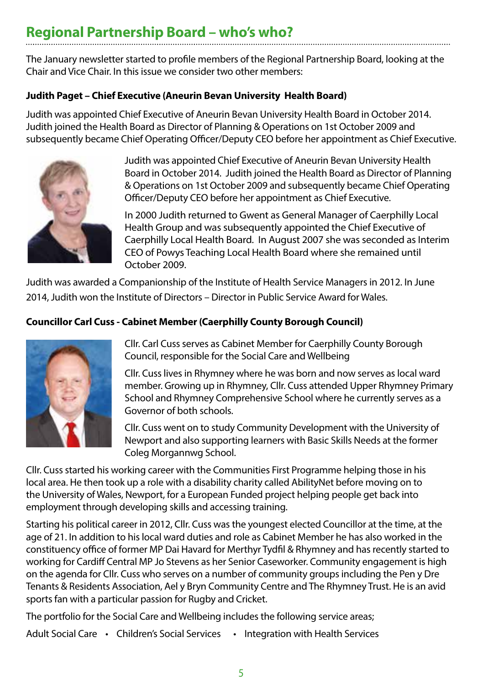### **Regional Partnership Board – who's who?**

The January newsletter started to profile members of the Regional Partnership Board, looking at the Chair and Vice Chair. In this issue we consider two other members:

#### **Judith Paget – Chief Executive (Aneurin Bevan University Health Board)**

Judith was appointed Chief Executive of Aneurin Bevan University Health Board in October 2014. Judith joined the Health Board as Director of Planning & Operations on 1st October 2009 and subsequently became Chief Operating Officer/Deputy CEO before her appointment as Chief Executive.



Judith was appointed Chief Executive of Aneurin Bevan University Health Board in October 2014. Judith joined the Health Board as Director of Planning & Operations on 1st October 2009 and subsequently became Chief Operating Officer/Deputy CEO before her appointment as Chief Executive.

In 2000 Judith returned to Gwent as General Manager of Caerphilly Local Health Group and was subsequently appointed the Chief Executive of Caerphilly Local Health Board. In August 2007 she was seconded as Interim CEO of Powys Teaching Local Health Board where she remained until October 2009.

Judith was awarded a Companionship of the Institute of Health Service Managers in 2012. In June 2014, Judith won the Institute of Directors – Director in Public Service Award for Wales.

### **Councillor Carl Cuss - Cabinet Member (Caerphilly County Borough Council)**



Cllr. Carl Cuss serves as Cabinet Member for Caerphilly County Borough Council, responsible for the Social Care and Wellbeing

Cllr. Cuss lives in Rhymney where he was born and now serves as local ward member. Growing up in Rhymney, Cllr. Cuss attended Upper Rhymney Primary School and Rhymney Comprehensive School where he currently serves as a Governor of both schools.

Cllr. Cuss went on to study Community Development with the University of Newport and also supporting learners with Basic Skills Needs at the former Coleg Morgannwg School.

Cllr. Cuss started his working career with the Communities First Programme helping those in his local area. He then took up a role with a disability charity called AbilityNet before moving on to the University of Wales, Newport, for a European Funded project helping people get back into employment through developing skills and accessing training.

Starting his political career in 2012, Cllr. Cuss was the youngest elected Councillor at the time, at the age of 21. In addition to his local ward duties and role as Cabinet Member he has also worked in the constituency office of former MP Dai Havard for Merthyr Tydfil & Rhymney and has recently started to working for Cardiff Central MP Jo Stevens as her Senior Caseworker. Community engagement is high on the agenda for Cllr. Cuss who serves on a number of community groups including the Pen y Dre Tenants & Residents Association, Ael y Bryn Community Centre and The Rhymney Trust. He is an avid sports fan with a particular passion for Rugby and Cricket.

The portfolio for the Social Care and Wellbeing includes the following service areas;

Adult Social Care • Children's Social Services • Integration with Health Services